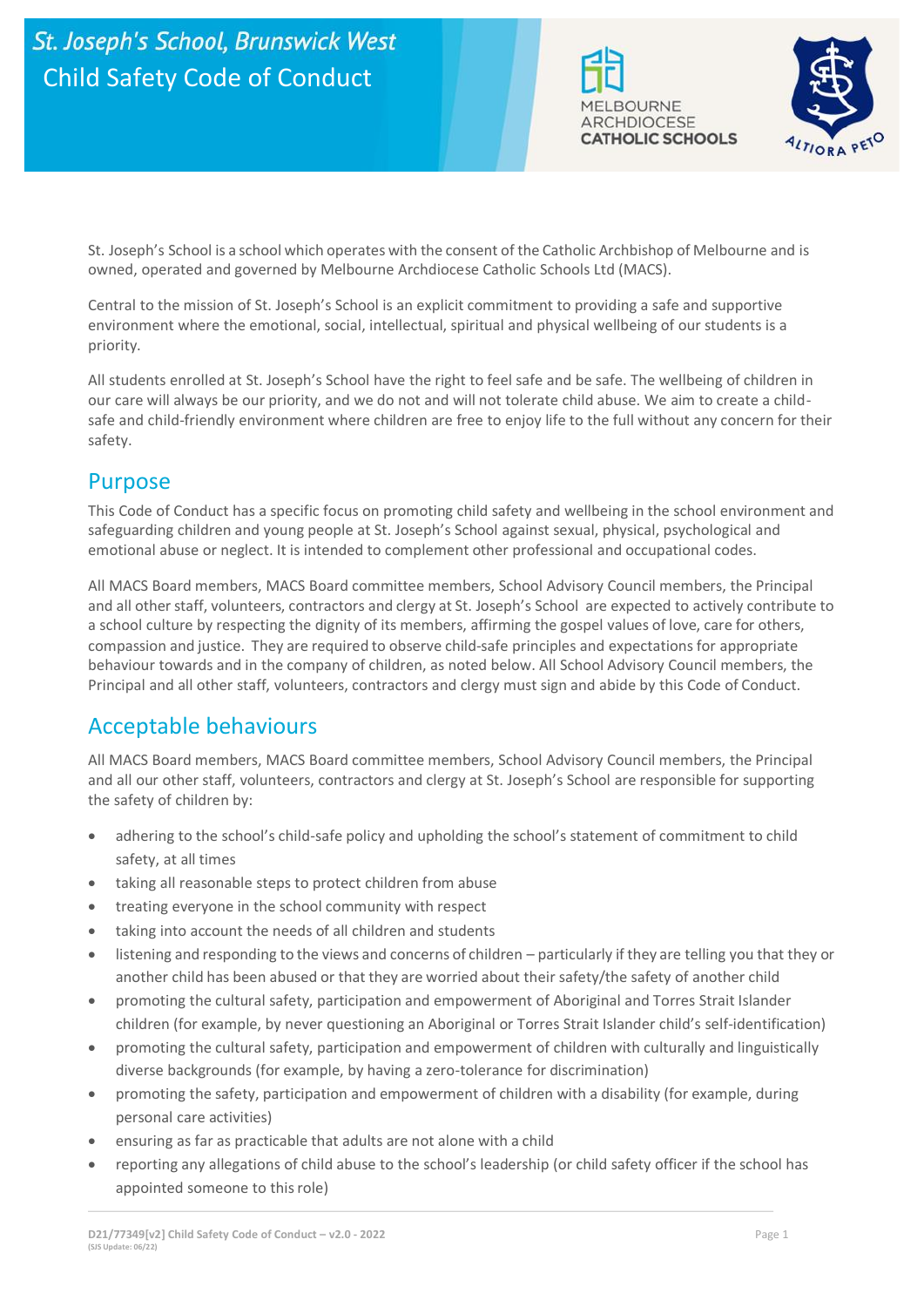



St. Joseph's School is a school which operates with the consent of the Catholic Archbishop of Melbourne and is owned, operated and governed by Melbourne Archdiocese Catholic Schools Ltd (MACS).

Central to the mission of St. Joseph's School is an explicit commitment to providing a safe and supportive environment where the emotional, social, intellectual, spiritual and physical wellbeing of our students is a priority.

All students enrolled at St. Joseph's School have the right to feel safe and be safe. The wellbeing of children in our care will always be our priority, and we do not and will not tolerate child abuse. We aim to create a childsafe and child-friendly environment where children are free to enjoy life to the full without any concern for their safety.

#### Purpose

This Code of Conduct has a specific focus on promoting child safety and wellbeing in the school environment and safeguarding children and young people at St. Joseph's School against sexual, physical, psychological and emotional abuse or neglect. It is intended to complement other professional and occupational codes.

All MACS Board members, MACS Board committee members, School Advisory Council members, the Principal and all other staff, volunteers, contractors and clergy at St. Joseph's School are expected to actively contribute to a school culture by respecting the dignity of its members, affirming the gospel values of love, care for others, compassion and justice. They are required to observe child-safe principles and expectations for appropriate behaviour towards and in the company of children, as noted below. All School Advisory Council members, the Principal and all other staff, volunteers, contractors and clergy must sign and abide by this Code of Conduct.

### Acceptable behaviours

All MACS Board members, MACS Board committee members, School Advisory Council members, the Principal and all our other staff, volunteers, contractors and clergy at St. Joseph's School are responsible for supporting the safety of children by:

- adhering to the school's child-safe policy and upholding the school's statement of commitment to child safety, at all times
- taking all reasonable steps to protect children from abuse
- treating everyone in the school community with respect
- taking into account the needs of all children and students
- listening and responding to the views and concerns of children particularly if they are telling you that they or another child has been abused or that they are worried about their safety/the safety of another child
- promoting the cultural safety, participation and empowerment of Aboriginal and Torres Strait Islander children (for example, by never questioning an Aboriginal or Torres Strait Islander child's self-identification)
- promoting the cultural safety, participation and empowerment of children with culturally and linguistically diverse backgrounds (for example, by having a zero-tolerance for discrimination)
- promoting the safety, participation and empowerment of children with a disability (for example, during personal care activities)
- ensuring as far as practicable that adults are not alone with a child
- reporting any allegations of child abuse to the school's leadership (or child safety officer if the school has appointed someone to thisrole)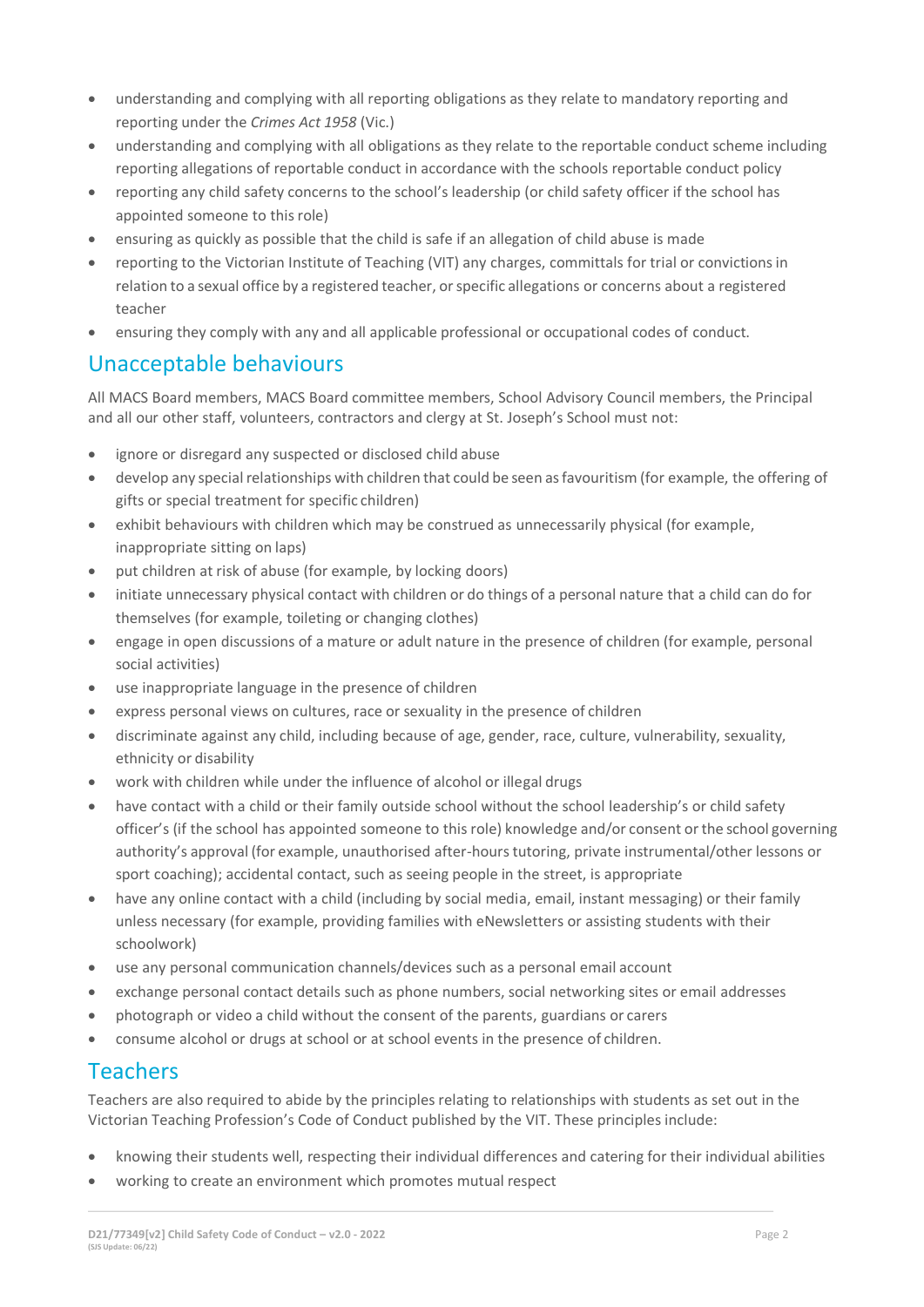- understanding and complying with all reporting obligations as they relate to mandatory reporting and reporting under the *Crimes Act 1958* (Vic.)
- understanding and complying with all obligations as they relate to the reportable conduct scheme including reporting allegations of reportable conduct in accordance with the schools reportable conduct policy
- reporting any child safety concerns to the school's leadership (or child safety officer if the school has appointed someone to this role)
- ensuring as quickly as possible that the child is safe if an allegation of child abuse is made
- reporting to the Victorian Institute of Teaching (VIT) any charges, committals for trial or convictions in relation to a sexual office by a registered teacher, orspecific allegations or concerns about a registered teacher
- ensuring they comply with any and all applicable professional or occupational codes of conduct.

# Unacceptable behaviours

All MACS Board members, MACS Board committee members, School Advisory Council members, the Principal and all our other staff, volunteers, contractors and clergy at St. Joseph's School must not:

- ignore or disregard any suspected or disclosed child abuse
- develop any special relationships with children that could be seen as favouritism (for example, the offering of gifts or special treatment for specific children)
- exhibit behaviours with children which may be construed as unnecessarily physical (for example, inappropriate sitting on laps)
- put children at risk of abuse (for example, by locking doors)
- initiate unnecessary physical contact with children or do things of a personal nature that a child can do for themselves (for example, toileting or changing clothes)
- engage in open discussions of a mature or adult nature in the presence of children (for example, personal social activities)
- use inappropriate language in the presence of children
- express personal views on cultures, race or sexuality in the presence of children
- discriminate against any child, including because of age, gender, race, culture, vulnerability, sexuality, ethnicity or disability
- work with children while under the influence of alcohol or illegal drugs
- have contact with a child or their family outside school without the school leadership's or child safety officer's (if the school has appointed someone to this role) knowledge and/or consent or the school governing authority's approval (for example, unauthorised after-hours tutoring, private instrumental/other lessons or sport coaching); accidental contact, such as seeing people in the street, is appropriate
- have any online contact with a child (including by social media, email, instant messaging) or their family unless necessary (for example, providing families with eNewsletters or assisting students with their schoolwork)
- use any personal communication channels/devices such as a personal email account
- exchange personal contact details such as phone numbers, social networking sites or email addresses
- photograph or video a child without the consent of the parents, guardians or carers
- consume alcohol or drugs at school or at school events in the presence of children.

### Teachers

Teachers are also required to abide by the principles relating to relationships with students as set out in the Victorian Teaching Profession's Code of Conduct published by the VIT. These principles include:

- knowing their students well, respecting their individual differences and catering for their individual abilities
- working to create an environment which promotes mutual respect